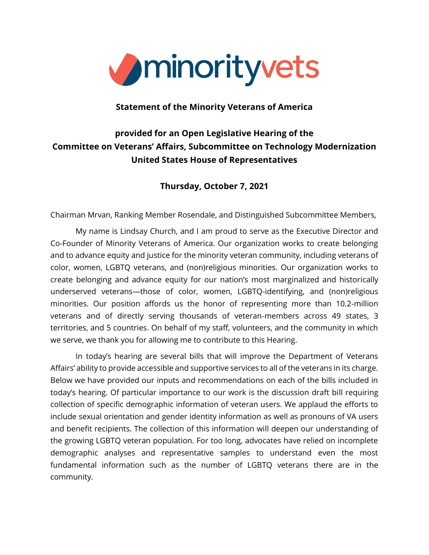

#### **Statement of the Minority Veterans of America**

# **provided for an Open Legislative Hearing of the Committee on Veterans' Affairs, Subcommittee on Technology Modernization United States House of Representatives**

## **Thursday, October 7, 2021**

Chairman Mrvan, Ranking Member Rosendale, and Distinguished Subcommittee Members,

My name is Lindsay Church, and I am proud to serve as the Executive Director and Co-Founder of Minority Veterans of America. Our organization works to create belonging and to advance equity and justice for the minority veteran community, including veterans of color, women, LGBTQ veterans, and (non)religious minorities. Our organization works to create belonging and advance equity for our nation's most marginalized and historically underserved veterans—those of color, women, LGBTQ-identifying, and (non)religious minorities. Our position affords us the honor of representing more than 10.2-million veterans and of directly serving thousands of veteran-members across 49 states, 3 territories, and 5 countries. On behalf of my staff, volunteers, and the community in which we serve, we thank you for allowing me to contribute to this Hearing.

In today's hearing are several bills that will improve the Department of Veterans Affairs' ability to provide accessible and supportive services to all of the veterans in its charge. Below we have provided our inputs and recommendations on each of the bills included in today's hearing. Of particular importance to our work is the discussion draft bill requiring collection of specific demographic information of veteran users. We applaud the efforts to include sexual orientation and gender identity information as well as pronouns of VA users and benefit recipients. The collection of this information will deepen our understanding of the growing LGBTQ veteran population. For too long, advocates have relied on incomplete demographic analyses and representative samples to understand even the most fundamental information such as the number of LGBTQ veterans there are in the community.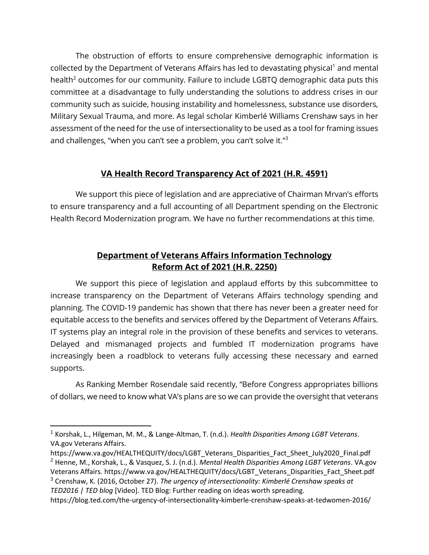The obstruction of efforts to ensure comprehensive demographic information is collected by the Department of Veterans Affairs has led to devastating physical<sup>1</sup> and mental health<sup>2</sup> outcomes for our community. Failure to include LGBTQ demographic data puts this committee at a disadvantage to fully understanding the solutions to address crises in our community such as suicide, housing instability and homelessness, substance use disorders, Military Sexual Trauma, and more. As legal scholar Kimberlé Williams Crenshaw says in her assessment of the need for the use of intersectionality to be used as a tool for framing issues and challenges, "when you can't see a problem, you can't solve it."<sup>3</sup>

## **VA Health Record Transparency Act of 2021 (H.R. 4591)**

We support this piece of legislation and are appreciative of Chairman Mrvan's efforts to ensure transparency and a full accounting of all Department spending on the Electronic Health Record Modernization program. We have no further recommendations at this time.

# **Department of Veterans Affairs Information Technology Reform Act of 2021 (H.R. 2250)**

We support this piece of legislation and applaud efforts by this subcommittee to increase transparency on the Department of Veterans Affairs technology spending and planning. The COVID-19 pandemic has shown that there has never been a greater need for equitable access to the benefits and services offered by the Department of Veterans Affairs. IT systems play an integral role in the provision of these benefits and services to veterans. Delayed and mismanaged projects and fumbled IT modernization programs have increasingly been a roadblock to veterans fully accessing these necessary and earned supports.

As Ranking Member Rosendale said recently, "Before Congress appropriates billions of dollars, we need to know what VA's plans are so we can provide the oversight that veterans

<sup>3</sup> Crenshaw, K. (2016, October 27). *The urgency of intersectionality: Kimberlé Crenshaw speaks at TED2016 | TED blog* [Video]. TED Blog: Further reading on ideas worth spreading.

<sup>1</sup> Korshak, L., Hilgeman, M. M., & Lange-Altman, T. (n.d.). *Health Disparities Among LGBT Veterans*. VA.gov Veterans Affairs.

[https://www.va.gov/HEALTHEQUITY/docs/LGBT\\_Veterans\\_Disparities\\_Fact\\_Sheet\\_July2020\\_Final.pdf](https://www.va.gov/HEALTHEQUITY/docs/LGBT_Veterans_Disparities_Fact_Sheet_July2020_Final.pdf) <sup>2</sup> Henne, M., Korshak, L., & Vasquez, S. J. (n.d.). *Mental Health Disparities Among LGBT Veterans*. VA.gov Veterans Affairs. [https://www.va.gov/HEALTHEQUITY/docs/LGBT\\_Veterans\\_Disparities\\_Fact\\_Sheet.pdf](https://www.va.gov/HEALTHEQUITY/docs/LGBT_Veterans_Disparities_Fact_Sheet.pdf)

<https://blog.ted.com/the-urgency-of-intersectionality-kimberle-crenshaw-speaks-at-tedwomen-2016/>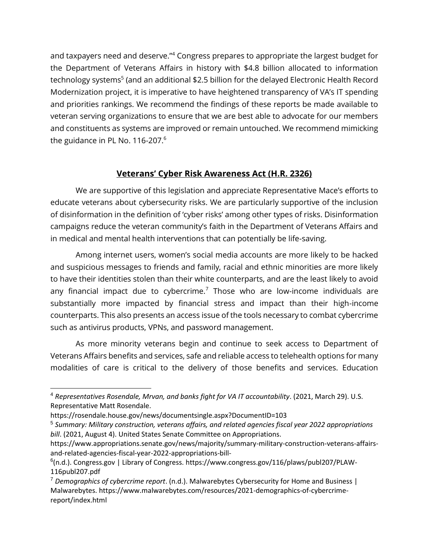and taxpayers need and deserve."<sup>4</sup> Congress prepares to appropriate the largest budget for the Department of Veterans Affairs in history with \$4.8 billion allocated to information technology systems<sup>5</sup> (and an additional \$2.5 billion for the delayed Electronic Health Record Modernization project, it is imperative to have heightened transparency of VA's IT spending and priorities rankings. We recommend the findings of these reports be made available to veteran serving organizations to ensure that we are best able to advocate for our members and constituents as systems are improved or remain untouched. We recommend mimicking the guidance in PL No. 116-207.<sup>6</sup>

## **Veterans' Cyber Risk Awareness Act (H.R. 2326)**

We are supportive of this legislation and appreciate Representative Mace's efforts to educate veterans about cybersecurity risks. We are particularly supportive of the inclusion of disinformation in the definition of 'cyber risks' among other types of risks. Disinformation campaigns reduce the veteran community's faith in the Department of Veterans Affairs and in medical and mental health interventions that can potentially be life-saving.

Among internet users, women's social media accounts are more likely to be hacked and suspicious messages to friends and family, racial and ethnic minorities are more likely to have their identities stolen than their white counterparts, and are the least likely to avoid any financial impact due to cybercrime.<sup>7</sup> Those who are low-income individuals are substantially more impacted by financial stress and impact than their high-income counterparts. This also presents an access issue of the tools necessary to combat cybercrime such as antivirus products, VPNs, and password management.

As more minority veterans begin and continue to seek access to Department of Veterans Affairs benefits and services, safe and reliable access to telehealth options for many modalities of care is critical to the delivery of those benefits and services. Education

<sup>4</sup> *Representatives Rosendale, Mrvan, and banks fight for VA IT accountability*. (2021, March 29). U.S. Representative Matt Rosendale.

<https://rosendale.house.gov/news/documentsingle.aspx?DocumentID=103>

<sup>5</sup> *Summary: Military construction, veterans affairs, and related agencies fiscal year 2022 appropriations bill*. (2021, August 4). United States Senate Committee on Appropriations.

[https://www.appropriations.senate.gov/news/majority/summary-military-construction-veterans-affairs](https://www.appropriations.senate.gov/news/majority/summary-military-construction-veterans-affairs-and-related-agencies-fiscal-year-2022-appropriations-bill-)[and-related-agencies-fiscal-year-2022-appropriations-bill-](https://www.appropriations.senate.gov/news/majority/summary-military-construction-veterans-affairs-and-related-agencies-fiscal-year-2022-appropriations-bill-)

<sup>&</sup>lt;sup>6</sup>(n.d.). Congress.gov | Library of Congress. [https://www.congress.gov/116/plaws/publ207/PLAW-](https://www.congress.gov/116/plaws/publ207/PLAW-116publ207.pdf)[116publ207.pdf](https://www.congress.gov/116/plaws/publ207/PLAW-116publ207.pdf)

<sup>7</sup> *Demographics of cybercrime report*. (n.d.). Malwarebytes Cybersecurity for Home and Business | Malwarebytes. [https://www.malwarebytes.com/resources/2021-demographics-of-cybercrime](https://www.malwarebytes.com/resources/2021-demographics-of-cybercrime-report/index.html)[report/index.html](https://www.malwarebytes.com/resources/2021-demographics-of-cybercrime-report/index.html)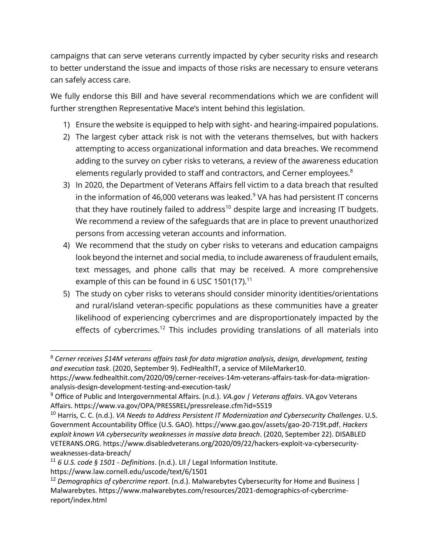campaigns that can serve veterans currently impacted by cyber security risks and research to better understand the issue and impacts of those risks are necessary to ensure veterans can safely access care.

We fully endorse this Bill and have several recommendations which we are confident will further strengthen Representative Mace's intent behind this legislation.

- 1) Ensure the website is equipped to help with sight- and hearing-impaired populations.
- 2) The largest cyber attack risk is not with the veterans themselves, but with hackers attempting to access organizational information and data breaches. We recommend adding to the survey on cyber risks to veterans, a review of the awareness education elements regularly provided to staff and contractors, and Cerner employees.<sup>8</sup>
- 3) In 2020, the Department of Veterans Affairs fell victim to a data breach that resulted in the information of 46,000 veterans was leaked. $9$  VA has had persistent IT concerns that they have routinely failed to address<sup>10</sup> despite large and increasing IT budgets. We recommend a review of the safeguards that are in place to prevent unauthorized persons from accessing veteran accounts and information.
- 4) We recommend that the study on cyber risks to veterans and education campaigns look beyond the internet and social media, to include awareness of fraudulent emails, text messages, and phone calls that may be received. A more comprehensive example of this can be found in 6 USC 1501(17).<sup>11</sup>
- 5) The study on cyber risks to veterans should consider minority identities/orientations and rural/island veteran-specific populations as these communities have a greater likelihood of experiencing cybercrimes and are disproportionately impacted by the effects of cybercrimes.<sup>12</sup> This includes providing translations of all materials into

<sup>11</sup> *6 U.S. code § 1501 - Definitions*. (n.d.). LII / Legal Information Institute.

<https://www.law.cornell.edu/uscode/text/6/1501>

<sup>8</sup> *Cerner receives \$14M veterans affairs task for data migration analysis, design, development, testing and execution task*. (2020, September 9). FedHealthIT, a service of MileMarker10.

[https://www.fedhealthit.com/2020/09/cerner-receives-14m-veterans-affairs-task-for-data-migration](https://www.fedhealthit.com/2020/09/cerner-receives-14m-veterans-affairs-task-for-data-migration-analysis-design-development-testing-and-execution-task/)[analysis-design-development-testing-and-execution-task/](https://www.fedhealthit.com/2020/09/cerner-receives-14m-veterans-affairs-task-for-data-migration-analysis-design-development-testing-and-execution-task/)

<sup>9</sup> Office of Public and Intergovernmental Affairs. (n.d.). *VA.gov | Veterans affairs*. VA.gov Veterans Affairs.<https://www.va.gov/OPA/PRESSREL/pressrelease.cfm?id=5519>

<sup>10</sup> Harris, C. C. (n.d.). *VA Needs to Address Persistent IT Modernization and Cybersecurity Challenges*. U.S. Government Accountability Office (U.S. GAO).<https://www.gao.gov/assets/gao-20-719t.pdf>, *Hackers exploit known VA cybersecurity weaknesses in massive data breach*. (2020, September 22). DISABLED VETERANS.ORG. [https://www.disabledveterans.org/2020/09/22/hackers-exploit-va-cybersecurity](https://www.disabledveterans.org/2020/09/22/hackers-exploit-va-cybersecurity-weaknesses-data-breach/)[weaknesses-data-breach/](https://www.disabledveterans.org/2020/09/22/hackers-exploit-va-cybersecurity-weaknesses-data-breach/)

<sup>12</sup> *Demographics of cybercrime report*. (n.d.). Malwarebytes Cybersecurity for Home and Business | Malwarebytes. [https://www.malwarebytes.com/resources/2021-demographics-of-cybercrime](https://www.malwarebytes.com/resources/2021-demographics-of-cybercrime-report/index.html)[report/index.html](https://www.malwarebytes.com/resources/2021-demographics-of-cybercrime-report/index.html)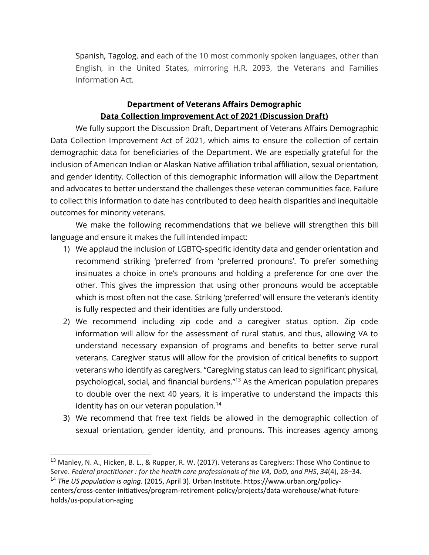Spanish, Tagolog, and each of the 10 most commonly spoken languages, other than English, in the United States, mirroring H.R. 2093, the Veterans and Families Information Act.

# **Department of Veterans Affairs Demographic Data Collection Improvement Act of 2021 (Discussion Draft)**

We fully support the Discussion Draft, Department of Veterans Affairs Demographic Data Collection Improvement Act of 2021, which aims to ensure the collection of certain demographic data for beneficiaries of the Department. We are especially grateful for the inclusion of American Indian or Alaskan Native affiliation tribal affiliation, sexual orientation, and gender identity. Collection of this demographic information will allow the Department and advocates to better understand the challenges these veteran communities face. Failure to collect this information to date has contributed to deep health disparities and inequitable outcomes for minority veterans.

We make the following recommendations that we believe will strengthen this bill language and ensure it makes the full intended impact:

- 1) We applaud the inclusion of LGBTQ-specific identity data and gender orientation and recommend striking 'preferred' from 'preferred pronouns'. To prefer something insinuates a choice in one's pronouns and holding a preference for one over the other. This gives the impression that using other pronouns would be acceptable which is most often not the case. Striking 'preferred' will ensure the veteran's identity is fully respected and their identities are fully understood.
- 2) We recommend including zip code and a caregiver status option. Zip code information will allow for the assessment of rural status, and thus, allowing VA to understand necessary expansion of programs and benefits to better serve rural veterans. Caregiver status will allow for the provision of critical benefits to support veterans who identify as caregivers. "Caregiving status can lead to significant physical, psychological, social, and financial burdens."<sup>13</sup> As the American population prepares to double over the next 40 years, it is imperative to understand the impacts this identity has on our veteran population.<sup>14</sup>
- 3) We recommend that free text fields be allowed in the demographic collection of sexual orientation, gender identity, and pronouns. This increases agency among

<sup>&</sup>lt;sup>13</sup> Manley, N. A., Hicken, B. L., & Rupper, R. W. (2017). Veterans as Caregivers: Those Who Continue to Serve. *Federal practitioner : for the health care professionals of the VA, DoD, and PHS*, *34*(4), 28–34. <sup>14</sup> *The US population is aging*. (2015, April 3). Urban Institute. [https://www.urban.org/policy](https://www.urban.org/policy-centers/cross-center-initiatives/program-retirement-policy/projects/data-warehouse/what-future-holds/us-population-aging)[centers/cross-center-initiatives/program-retirement-policy/projects/data-warehouse/what-future](https://www.urban.org/policy-centers/cross-center-initiatives/program-retirement-policy/projects/data-warehouse/what-future-holds/us-population-aging)[holds/us-population-aging](https://www.urban.org/policy-centers/cross-center-initiatives/program-retirement-policy/projects/data-warehouse/what-future-holds/us-population-aging)